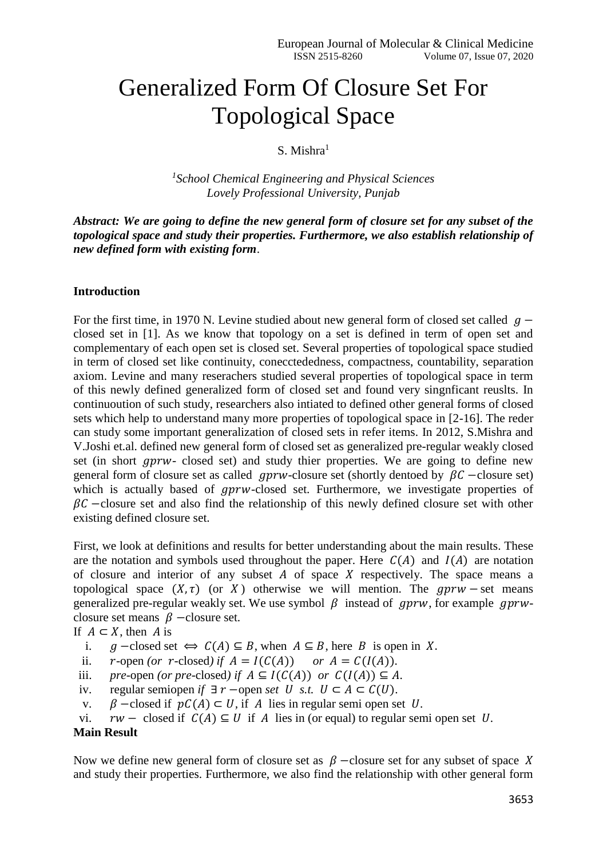# Generalized Form Of Closure Set For Topological Space

## S. Mishra<sup>1</sup>

*1 School Chemical Engineering and Physical Sciences Lovely Professional University, Punjab*

*Abstract: We are going to define the new general form of closure set for any subset of the topological space and study their properties. Furthermore, we also establish relationship of new defined form with existing form*.

### **Introduction**

For the first time, in 1970 N. Levine studied about new general form of closed set called  $q$ closed set in [1]. As we know that topology on a set is defined in term of open set and complementary of each open set is closed set. Several properties of topological space studied in term of closed set like continuity, conecctededness, compactness, countability, separation axiom. Levine and many reserachers studied several properties of topological space in term of this newly defined generalized form of closed set and found very singnficant reuslts. In continuoution of such study, researchers also intiated to defined other general forms of closed sets which help to understand many more properties of topological space in [2-16]. The reder can study some important generalization of closed sets in refer items. In 2012, S.Mishra and V.Joshi et.al. defined new general form of closed set as generalized pre-regular weakly closed set (in short  $qprw$ - closed set) and study thier properties. We are going to define new general form of closure set as called  $gprw$ -closure set (shortly dentoed by  $\beta \mathcal{C}$  -closure set) which is actually based of  $gprw$ -closed set. Furthermore, we investigate properties of  $\beta C$  –closure set and also find the relationship of this newly defined closure set with other existing defined closure set.

First, we look at definitions and results for better understanding about the main results. These are the notation and symbols used throughout the paper. Here  $C(A)$  and  $I(A)$  are notation of closure and interior of any subset  $A$  of space  $X$  respectively. The space means a topological space  $(X, \tau)$  (or X) otherwise we will mention. The  $gprw$  – set means generalized pre-regular weakly set. We use symbol  $\beta$  instead of gprw, for example gprwclosure set means  $\beta$  –closure set.

If  $A \subset X$ , then A is

- i.  $g$  –closed set ⇔  $C(A) \subseteq B$ , when  $A \subseteq B$ , here B is open in X.
- ii. *r*-open (or *r*-closed) if  $A = I(C(A))$  or  $A = C(I(A))$ .
- iii. *pre-open (or pre-closed) if*   $A \subseteq I(C(A))$  *or*  $C(I(A)) \subseteq A$ .
- iv. regular semiopen *if*  $\exists r$  –open *set*  $U$  *s.t.*  $U \subset A \subset C(U)$ .
- v.  $\beta$  –closed if  $pC(A) \subset U$ , if A lies in regular semi open set *U*.
- vi.  $rw \text{closed if } C(A) \subseteq U \text{ if } A \text{ lies in (or equal) to regular semi open set } U.$

#### **Main Result**

Now we define new general form of closure set as  $\beta$  –closure set for any subset of space X and study their properties. Furthermore, we also find the relationship with other general form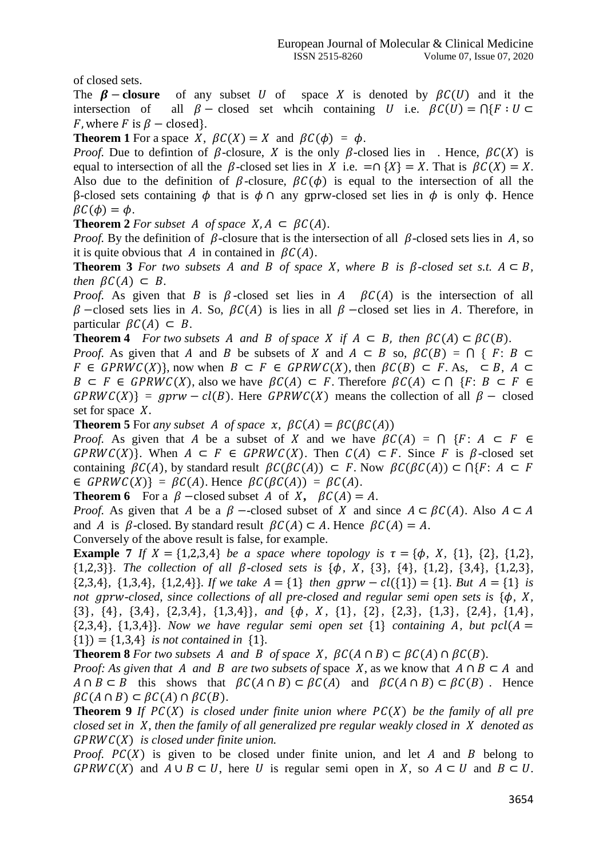of closed sets.

The  $\beta$  – **closure** of any subset U of space X is denoted by  $\beta C(U)$  and it the intersection of all  $\beta$  – closed set wheih containing U i.e.  $\beta C(U) = \bigcap \{F : U \subset$ *F*, where *F* is  $\beta$  – closed}.

**Theorem 1** For a space *X*,  $\beta C(X) = X$  and  $\beta C(\phi) = \phi$ .

*Proof.* Due to defintion of  $\beta$ -closure, X is the only  $\beta$ -closed lies in . Hence,  $\beta C(X)$  is equal to intersection of all the  $\beta$ -closed set lies in X i.e. =∩ {X} = X. That is  $\beta C(X) = X$ . Also due to the definition of  $\beta$ -closure,  $\beta C(\phi)$  is equal to the intersection of all the β-closed sets containing  $\phi$  that is  $\phi \cap$  any gprw-closed set lies in  $\phi$  is only  $\phi$ . Hence  $\beta C(\phi) = \phi$ .

**Theorem 2** For subset A of space  $X, A \subseteq \beta C(A)$ .

*Proof.* By the definition of  $\beta$ -closure that is the intersection of all  $\beta$ -closed sets lies in A, so it is quite obvious that A in contained in  $\beta C(A)$ .

**Theorem 3** For two subsets A and B of space X, where B is  $\beta$ -closed set s.t.  $A \subseteq B$ , *then*  $\beta C(A) \subset B$ .

*Proof.* As given that  $\hat{B}$  is  $\hat{B}$ -closed set lies in  $\hat{A}$   $\hat{B}C(A)$  is the intersection of all  $\beta$  –closed sets lies in A. So,  $\beta C(A)$  is lies in all  $\beta$  –closed set lies in A. Therefore, in particular  $\beta C(A) \subset B$ .

**Theorem 4** *For two subsets A and B of space X if*  $A \subseteq B$ *, then*  $\beta C(A) \subseteq \beta C(B)$ *.* 

*Proof.* As given that A and B be subsets of X and  $A \subseteq B$  so,  $BC(B) = \bigcap \{F: B \subseteq B\}$  $F \in GPRWC(X)$ , now when  $B \subset F \in GPRWC(X)$ , then  $\beta C(B) \subset F$ . As,  $\subset B$ ,  $A \subset F$  $B \subset F \in GPRWC(X)$ , also we have  $\beta C(A) \subset F$ . Therefore  $\beta C(A) \subset \bigcap \{F : B \subset F \in F\}$  $GPRWC(X) = gprw - cl(B)$ . Here  $GPRWC(X)$  means the collection of all  $\beta$  – closed set for space  $X$ .

**Theorem 5** For *any subset A of space*  $\chi$ *,*  $\beta C(A) = \beta C(\beta C(A))$ 

*Proof.* As given that A be a subset of X and we have  $\beta C(A) = \bigcap F: A \subseteq F \in$  $GPRWC(X)$ . When  $A \subseteq F \in GPRWC(X)$ . Then  $C(A) \subseteq F$ . Since F is  $\beta$ -closed set containing  $\beta C(A)$ , by standard result  $\beta C(\beta C(A)) \subset F$ . Now  $\beta C(\beta C(A)) \subset \bigcap \{F: A \subset F\}$  $\in$  GPRWC(X)} =  $\beta C(A)$ . Hence  $\beta C(\beta C(A)) = \beta C(A)$ .

**Theorem 6** For a  $\beta$  –closed subset A of X,  $\beta C(A) = A$ .

*Proof.* As given that A be a  $\beta$  --closed subset of X and since  $A \subset \beta C(A)$ . Also  $A \subset A$ and A is  $\beta$ -closed. By standard result  $\beta C(A) \subset A$ . Hence  $\beta C(A) = A$ .

Conversely of the above result is false, for example.

**Example 7** *If*  $X = \{1,2,3,4\}$  *be a space where topology is*  $\tau = \{\phi, X, \{1\}, \{2\}, \{1,2\},\}$  $\{1,2,3\}$ *. The collection of all*  $\beta$ *-closed sets is*  $\{\phi, X, \{3\}, \{4\}, \{1,2\}, \{3,4\}, \{1,2,3\},\}$  ${2,3,4}$ *,*  ${1,3,4}$ *,*  ${1,2,4}$ *}. If we take*  $A = \{1\}$  *then gprw* –  $cl({1}) = \{1\}$ *. But*  $A = \{1\}$  *is not aprw-closed, since collections of all pre-closed and regular semi open sets is*  ${\phi$ , *X*, {3}*,* {4}*,* {3,4}*,* {2,3,4}*,* {1,3,4}}*, and* {*, ,* {1}*,* {2}*,* {2,3}*,* {1,3}*,* {2,4}*,* {1,4}*,*   ${2,3,4}$ ,  ${1,3,4}$ . Now we have regular semi open set  ${1}$  *containing A, but pcl*( $A =$  ${1}$  = {1,3,4} *is not contained in* {1}.

**Theorem 8** *For two subsets A and B of space X,*  $BC(A \cap B) \subset BC(A) \cap BC(B)$ *.* 

*Proof:* As given that A and B are two subsets of space X, as we know that  $A \cap B \subset A$  and  $A \cap B \subset B$  this shows that  $\beta C(A \cap B) \subset \beta C(A)$  and  $\beta C(A \cap B) \subset \beta C(B)$ . Hence  $\beta C(A \cap B) \subset \beta C(A) \cap \beta C(B).$ 

**Theorem 9** *If PC(X) is closed under finite union where PC(X) be the family of all pre closed set in X, then the family of all generalized pre regular weakly closed in X denoted as* () *is closed under finite union.* 

*Proof.*  $PC(X)$  is given to be closed under finite union, and let  $A$  and  $B$  belong to  $GPRWC(X)$  and  $A \cup B \subset U$ , here U is regular semi open in X, so  $A \subset U$  and  $B \subset U$ .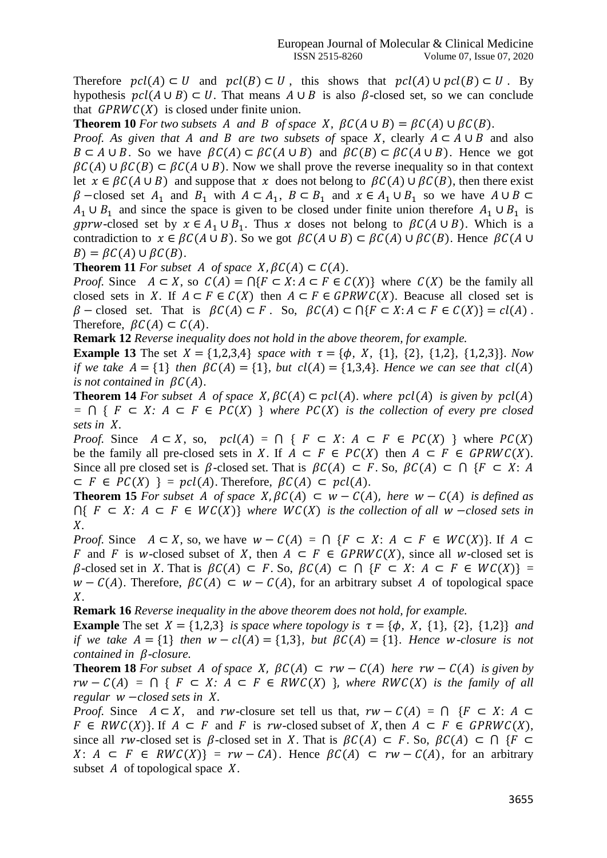Therefore  $\text{pcl}(A) \subset U$  and  $\text{pcl}(B) \subset U$ , this shows that  $\text{pcl}(A) \cup \text{pcl}(B) \subset U$ . By hypothesis  $\text{pc} \mathcal{U}(A \cup B) \subset U$ . That means  $A \cup B$  is also  $\beta$ -closed set, so we can conclude that  $GPRWC(X)$  is closed under finite union.

**Theorem 10** For two subsets A and B of space X,  $\beta C(A \cup B) = \beta C(A) \cup \beta C(B)$ .

*Proof.* As given that A and B are two subsets of space X, clearly  $A \subset A \cup B$  and also  $B \subset A \cup B$ . So we have  $\beta C(A) \subset \beta C(A \cup B)$  and  $\beta C(B) \subset \beta C(A \cup B)$ . Hence we got  $\beta C(A) \cup \beta C(B) \subset \beta C(A \cup B)$ . Now we shall prove the reverse inequality so in that context let  $x \in \beta C(A \cup B)$  and suppose that x does not belong to  $\beta C(A) \cup \beta C(B)$ , then there exist  $\beta$  –closed set  $A_1$  and  $B_1$  with  $A \subset A_1$ ,  $B \subset B_1$  and  $x \in A_1 \cup B_1$  so we have  $A \cup B \subset$  $A_1 \cup B_1$  and since the space is given to be closed under finite union therefore  $A_1 \cup B_1$  is gprw-closed set by  $x \in A_1 \cup B_1$ . Thus x doses not belong to  $\beta C (A \cup B)$ . Which is a contradiction to  $x \in \beta C(A \cup B)$ . So we got  $\beta C(A \cup B) \subset \beta C(A) \cup \beta C(B)$ . Hence  $\beta C(A \cup B)$  $B$ ) =  $\beta C(A) \cup \beta C(B)$ .

**Theorem 11** For subset A of space  $X, \beta C(A) \subset C(A)$ .

*Proof.* Since  $A \subset X$ , so  $C(A) = \bigcap \{F \subset X : A \subset F \in C(X)\}$  where  $C(X)$  be the family all closed sets in X. If  $A \subset F \in C(X)$  then  $A \subset F \in GPRWC(X)$ . Beacuse all closed set is  $\beta$  – closed set. That is  $\beta C(A) \subset F$ . So,  $\beta C(A) \subset \bigcap \{F \subset X : A \subset F \in C(X)\} = cl(A)$ . Therefore,  $\beta C(A) \subset C(A)$ .

**Remark 12** *Reverse inequality does not hold in the above theorem, for example.* 

**Example 13** The set  $X = \{1,2,3,4\}$  *space with*  $\tau = \{\phi, X, \{1\}, \{2\}, \{1,2\}, \{1,2,3\}\}$ *. Now if we take*  $A = \{1\}$  *then*  $\beta C(A) = \{1\}$ *, but*  $cl(A) = \{1,3,4\}$ *. Hence we can see that*  $cl(A)$ *is not contained in*  $\beta C(A)$ *.* 

**Theorem 14** For subset A of space  $X, \beta C(A) \subset \text{pcl}(A)$ , where  $\text{pcl}(A)$  is given by  $\text{pcl}(A)$  $= \bigcap \{ F \subseteq X : A \subseteq F \in PC(X) \}$  *where PC(X) is the collection of every pre closed sets in X.* 

*Proof.* Since  $A \subset X$ , so,  $\text{pcl}(A) = \bigcap \{ F \subset X : A \subset F \in \text{PC}(X) \}$  where  $\text{PC}(X)$ be the family all pre-closed sets in X. If  $A \subseteq F \in PC(X)$  then  $A \subseteq F \in GPRWC(X)$ . Since all pre closed set is  $\beta$ -closed set. That is  $\beta C(A) \subset F$ . So,  $\beta C(A) \subset \bigcap \{F \subset X : A\}$  $\subset$   $F \in PC(X)$  } =  $pcl(A)$ . Therefore,  $\beta C(A) \subset pcl(A)$ .

**Theorem 15** For subset A of space  $X, BC(A) \subseteq W - C(A)$ , here  $W - C(A)$  is defined as  $∩{ F ⊂ X: A ⊂ F ∈ WC(X)}$  where  $WC(X)$  is the collection of all w -closed sets in *.* 

*Proof.* Since  $A \subset X$ , so, we have  $w - C(A) = \bigcap \{F \subset X : A \subset F \in WC(X)\}\)$ . If  $A \subset$ F and F is w-closed subset of X, then  $A \subseteq F \in GPRWC(X)$ , since all w-closed set is  $\beta$ -closed set in X. That is  $\beta C(A) \subset F$ . So,  $\beta C(A) \subset \bigcap \{F \subset X: A \subset F \in WC(X)\}$  =  $W - C(A)$ . Therefore,  $\beta C(A) \subseteq W - C(A)$ , for an arbitrary subset A of topological space  $X_{\cdot}$ 

**Remark 16** *Reverse inequality in the above theorem does not hold, for example.* 

**Example** The set  $X = \{1,2,3\}$  *is space where topology is*  $\tau = \{\phi, X, \{1\}, \{2\}, \{1,2\}\}$  *and if we take*  $A = \{1\}$  *then*  $W - cl(A) = \{1,3\}$ *, but*  $\beta C(A) = \{1\}$ *. Hence w*-closure is not *contained in*  $\beta$ *-closure.* 

**Theorem 18** For subset A of space X,  $\beta C(A) \subset rw - C(A)$  here  $rw - C(A)$  is given by  $rw - C(A) = \bigcap \{ F \subset X : A \subset F \in RWC(X) \}$ , where RWC(X) is the family of all *regular w −<i>closed sets in X*.

*Proof.* Since  $A \subseteq X$ , and rw-closure set tell us that,  $rw - C(A) = \bigcap F \subseteq X$ :  $A \subseteq$  $F \in RWC(X)$ . If  $A \subseteq F$  and F is rw-closed subset of X, then  $A \subseteq F \in GPRWC(X)$ , since all rw-closed set is  $\beta$ -closed set in X. That is  $\beta C(A) \subset F$ . So,  $\beta C(A) \subset \bigcap \{F \subset$  $X: A \subseteq F \in RWC(X) = rw - CA$ . Hence  $\beta C(A) \subseteq rw - C(A)$ , for an arbitrary subset  $A$  of topological space  $X$ .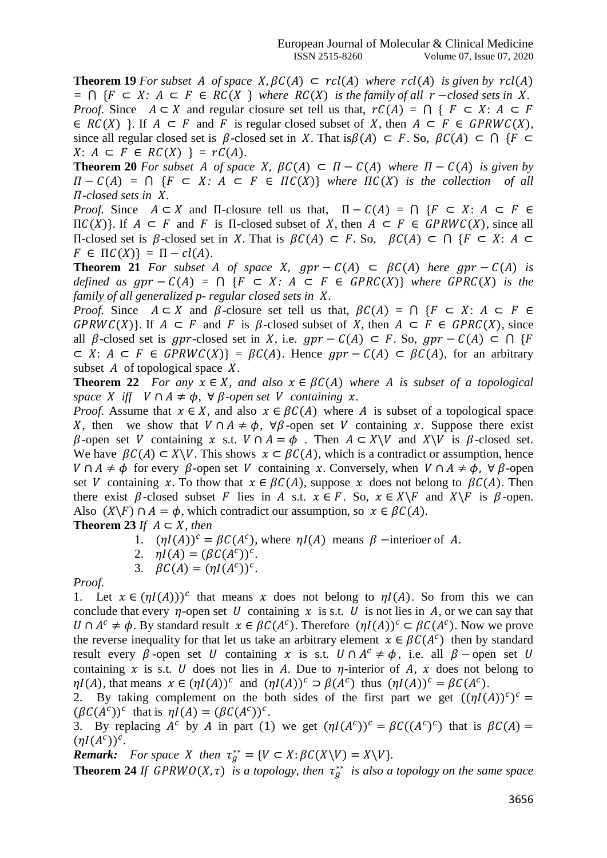**Theorem 19** For subset A of space  $X, \beta C(A) \subset \text{rcl}(A)$  where  $\text{rcl}(A)$  is given by  $\text{rcl}(A)$  $= ∩$  { $F ⊂ X$ :  $A ⊂ F ∈ RC(X)$  *where RC(X) is the family of all r -closed sets in X. Proof.* Since  $A \subset X$  and regular closure set tell us that,  $rC(A) = \bigcap \{F \subset X: A \subset F\}$  $\in RC(X)$  }. If  $A \subseteq F$  and F is regular closed subset of X, then  $A \subseteq F \in GPRWC(X)$ , since all regular closed set is  $\beta$ -closed set in X. That is $\beta(A) \subset F$ . So,  $\beta C(A) \subset \bigcap \{F \subset$  $X: A \subseteq F \in RC(X)$  } =  $rC(A)$ .

**Theorem 20** For subset A of space X,  $\beta C(A) \subset \Pi - C(A)$  where  $\Pi - C(A)$  is given by  $\Pi - C(A) = \bigcap \{ F \subset X : A \subset F \in \Pi C(X) \}$  where  $\Pi C(X)$  is the collection of all  $\Pi$ -closed sets in X.

*Proof.* Since  $A \subset X$  and  $\Pi$ -closure tell us that,  $\Pi - C(A) = \bigcap \{F \subset X : A \subset F \in$  $\Pi C(X)$ . If  $A \subseteq F$  and F is  $\Pi$ -closed subset of X, then  $A \subseteq F \in GPRWC(X)$ , since all Π-closed set is β-closed set in X. That is  $βC(A) ⊂ F$ . So,  $βC(A) ⊂ ∩ {F ⊂ X: A ⊂}$  $F \in \Pi C(X) = \Pi - cl(A).$ 

**Theorem 21** For subset A of space X,  $gpr - C(A) \subset BC(A)$  here  $gpr - C(A)$  is *defined as*  $gpr - C(A) = \bigcap \{F \subset X : A \subset F \in GPRC(X)\}$  *where*  $GPRC(X)$  *is the family of all generalized p- regular closed sets in X.* 

*Proof.* Since  $A \subseteq X$  and  $\beta$ -closure set tell us that,  $\beta C(A) = \bigcap \{F \subseteq X : A \subseteq F \in$  $GPRWC(X)$ . If  $A \subseteq F$  and F is  $\beta$ -closed subset of X, then  $A \subseteq F \in GPRC(X)$ , since all  $\beta$ -closed set is gpr-closed set in X, i.e.  $qpr - C(A) \subset F$ . So,  $qpr - C(A) \subset \bigcap \{F\}$  $\subset X$ :  $A \subset F \in GPRWC(X) = BC(A)$ . Hence  $apr - C(A) \subset BC(A)$ , for an arbitrary subset  $A$  of topological space  $X$ .

**Theorem 22** *For any*  $x \in X$ *, and also*  $x \in BC(A)$  *where A is subset of a topological space X iff*  $V \cap A \neq \emptyset$ ,  $\forall \beta$ -open set V containing *x*.

*Proof.* Assume that  $x \in X$ , and also  $x \in BC(A)$  where A is subset of a topological space X, then we show that  $V \cap A \neq \phi$ ,  $\forall \beta$ -open set V containing x. Suppose there exist  $\beta$ -open set V containing x s.t.  $V \cap A = \phi$ . Then  $A \subset X \setminus V$  and  $X \setminus V$  is  $\beta$ -closed set. We have  $\beta C(A) \subset X \backslash V$ . This shows  $x \subset \beta C(A)$ , which is a contradict or assumption, hence  $V \cap A \neq \phi$  for every  $\beta$ -open set V containing x. Conversely, when  $V \cap A \neq \phi$ ,  $\forall \beta$ -open set V containing x. To thow that  $x \in \beta C(A)$ , suppose x does not belong to  $\beta C(A)$ . Then there exist  $\beta$ -closed subset F lies in A s.t.  $x \in F$ . So,  $x \in X \backslash F$  and  $X \backslash F$  is  $\beta$ -open. Also  $(X \ F) \cap A = \phi$ , which contradict our assumption, so  $x \in \beta C(A)$ .

**Theorem 23** *If*  $A \subseteq X$ *, then* 

- 1.  $(\eta I(A))^c = \beta C(A^c)$ , where  $\eta I(A)$  means  $\beta$  –interioer of A.
- 2.  $\eta I(A) = (\beta C(A^c))^c$ .
- 3.  $\beta C(A) = (\eta I(A^c))^c$ .

#### *Proof.*

1. Let  $x \in (\eta I(A)))^c$  that means x does not belong to  $\eta I(A)$ . So from this we can conclude that every *n*-open set U containing x is s.t. U is not lies in A, or we can say that *U* ∩  $A^c \neq \phi$ . By standard result  $x \in \beta C(A^c)$ . Therefore  $(\eta I(A))^c \subset \beta C(A^c)$ . Now we prove the reverse inequality for that let us take an arbitrary element  $x \in \beta C(A^c)$  then by standard result every  $\beta$ -open set U containing x is s.t.  $U \cap A^c \neq \phi$ , i.e. all  $\beta$  -open set U containing x is s.t. U does not lies in A. Due to  $\eta$ -interior of A, x does not belong to  $\eta I(A)$ , that means  $x \in (\eta I(A))^c$  and  $(\eta I(A))^c \supset \beta(A^c)$  thus  $(\eta I(A))^c = \beta C(A^c)$ .

2. By taking complement on the both sides of the first part we get  $((\eta I(A))^c)^c$  =  $(\beta C(A^c))^c$  that is  $\eta I(A) = (\beta C(A^c))^c$ .

3. By replacing  $A^c$  by A in part (1) we get  $(\eta I(A^c))^c = \beta C((A^c)^c)$  that is  $\beta C(A) =$  $(\eta I(A^c))^c$ .

*Remark: For space X then*  $\tau_g^{**} = \{ V \subset X : \beta C(X \setminus V) = X \setminus V \}.$ 

**Theorem 24** *If GPRWO(X, t) is a topology, then*  $\tau_g^{**}$  *is also a topology on the same space*